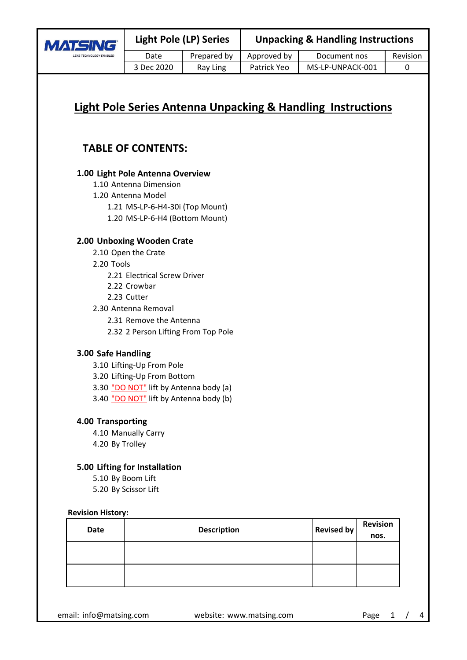| LENS TECHNOLOGY ENABLED |
|-------------------------|

0

# **TABLE OF CONTENTS:**

# **Light Pole Antenna Overview 1.00**

- 1.10 Antenna Dimension 1.20 Antenna Model MS-LP-6-H4-30i (Top Mount) 1.21
	- 1.20 MS-LP-6-H4 (Bottom Mount)

3 Dec 2020 Ray Ling

# **Unboxing Wooden Crate 2.00**

- 2.10 Open the Crate
- 2.20 Tools
	- 2.21 Electrical Screw Driver
	- 2.22 Crowbar
	- 2.23 Cutter
- 2.30 Antenna Removal
	- 2.31 Remove the Antenna
	- 2.32 2 Person Lifting From Top Pole

#### **Safe Handling 3.00**

- 3.10 Lifting-Up From Pole
- 3.20 Lifting-Up From Bottom

3.30 "DO NOT" lift by Antenna body (a) 3.40 "DO NOT" lift by Antenna body (b)

#### **4.00 Transporting**

4.10 Manually Carry 4.20 By Trolley

# **Lifting for Installation 5.00**

5.10 By Boom Lift 5.20 By Scissor Lift

#### **Revision History:**

| <b>Date</b> | <b>Description</b> | <b>Revised by</b> | <b>Revision</b><br>nos. |
|-------------|--------------------|-------------------|-------------------------|
|             |                    |                   |                         |
|             |                    |                   |                         |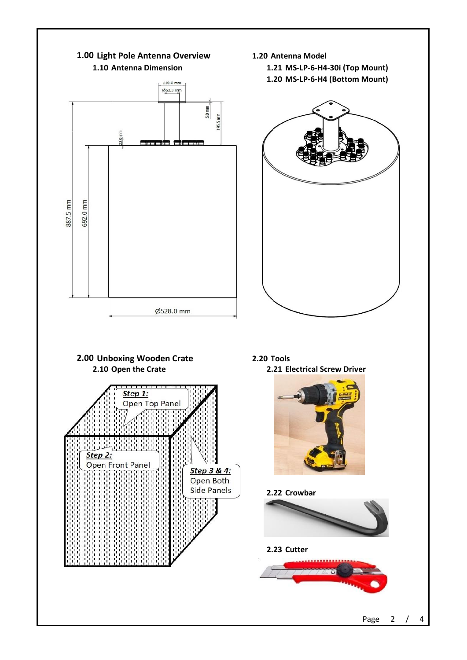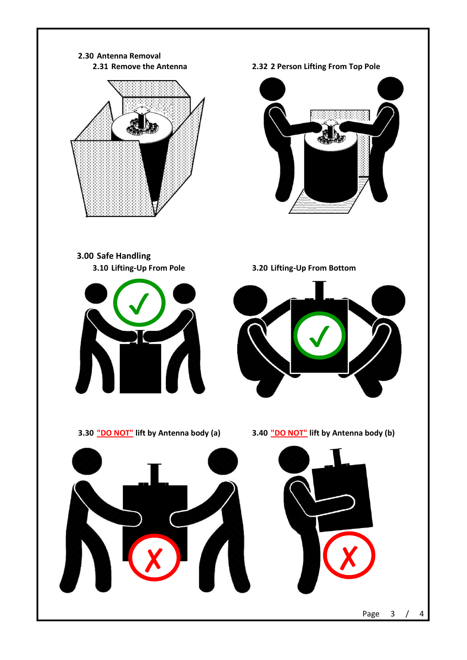# **Antenna Removal 2.30 2.32 2 Person Lifting From Top Pole Safe Handling 3.00 Lifting-Up From Pole Lifting-Up From Bottom "DO NOT" lift by Antenna body (a) "DO NOT" lift by Antenna body (b) 3.10 3.20 2.31 2.32 3.30 <u>"DO NOT"</u>** lift by Antenna body (a) ✔ ✔

✘ ✘

3 / 4 Page